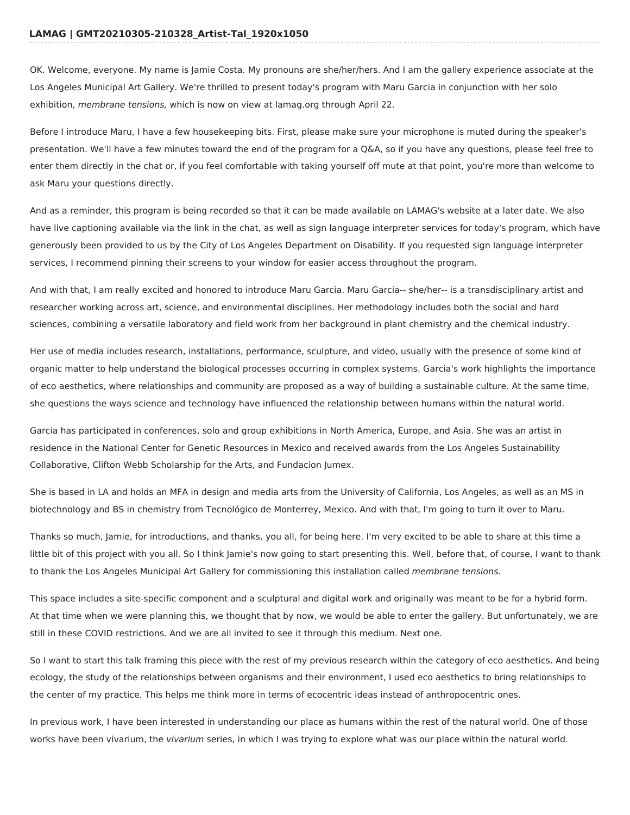OK. Welcome, everyone. My name is Jamie Costa. My pronouns are she/her/hers. And I am the gallery experience associate at the Los Angeles Municipal Art Gallery. We're thrilled to present today's program with Maru Garcia in conjunction with her solo exhibition, membrane tensions, which is now on view at lamag.org through April 22.

Before I introduce Maru, I have a few housekeeping bits. First, please make sure your microphone is muted during the speaker's presentation. We'll have a few minutes toward the end of the program for a Q&A, so if you have any questions, please feel free to enter them directly in the chat or, if you feel comfortable with taking yourself off mute at that point, you're more than welcome to ask Maru your questions directly.

And as a reminder, this program is being recorded so that it can be made available on LAMAG's website at a later date. We also have live captioning available via the link in the chat, as well as sign language interpreter services for today's program, which have generously been provided to us by the City of Los Angeles Department on Disability. If you requested sign language interpreter services, I recommend pinning their screens to your window for easier access throughout the program.

And with that, I am really excited and honored to introduce Maru Garcia. Maru Garcia-- she/her-- is a transdisciplinary artist and researcher working across art, science, and environmental disciplines. Her methodology includes both the social and hard sciences, combining a versatile laboratory and field work from her background in plant chemistry and the chemical industry.

Her use of media includes research, installations, performance, sculpture, and video, usually with the presence of some kind of organic matter to help understand the biological processes occurring in complex systems. Garcia's work highlights the importance of eco aesthetics, where relationships and community are proposed as a way of building a sustainable culture. At the same time, she questions the ways science and technology have influenced the relationship between humans within the natural world.

Garcia has participated in conferences, solo and group exhibitions in North America, Europe, and Asia. She was an artist in residence in the National Center for Genetic Resources in Mexico and received awards from the Los Angeles Sustainability Collaborative, Clifton Webb Scholarship for the Arts, and Fundacion Jumex.

She is based in LA and holds an MFA in design and media arts from the University of California, Los Angeles, as well as an MS in biotechnology and BS in chemistry from Tecnológico de Monterrey, Mexico. And with that, I'm going to turn it over to Maru.

Thanks so much, Jamie, for introductions, and thanks, you all, for being here. I'm very excited to be able to share at this time a little bit of this project with you all. So I think Jamie's now going to start presenting this. Well, before that, of course, I want to thank to thank the Los Angeles Municipal Art Gallery for commissioning this installation called membrane tensions.

This space includes a site-specific component and a sculptural and digital work and originally was meant to be for a hybrid form. At that time when we were planning this, we thought that by now, we would be able to enter the gallery. But unfortunately, we are still in these COVID restrictions. And we are all invited to see it through this medium. Next one.

So I want to start this talk framing this piece with the rest of my previous research within the category of eco aesthetics. And being ecology, the study of the relationships between organisms and their environment, I used eco aesthetics to bring relationships to the center of my practice. This helps me think more in terms of ecocentric ideas instead of anthropocentric ones.

In previous work, I have been interested in understanding our place as humans within the rest of the natural world. One of those works have been vivarium, the vivarium series, in which I was trying to explore what was our place within the natural world.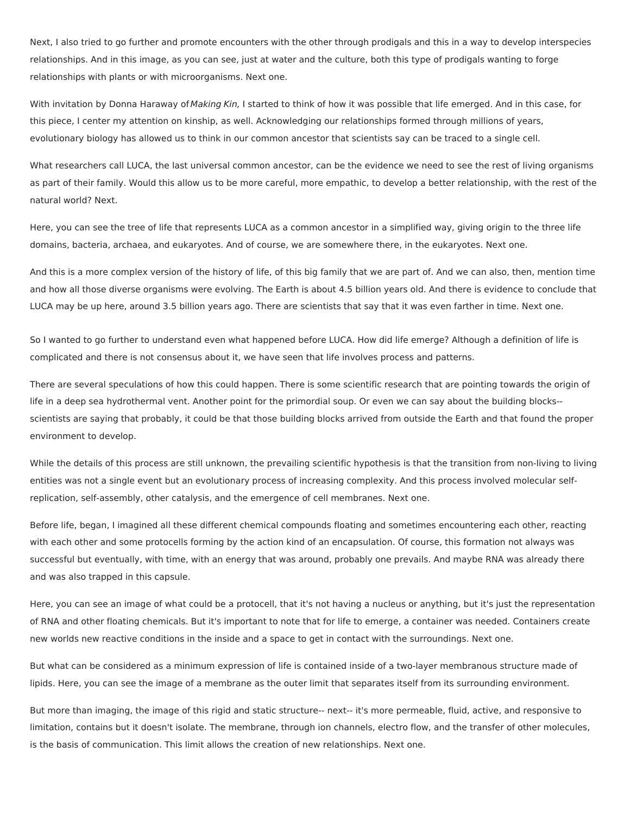Next, I also tried to go further and promote encounters with the other through prodigals and this in a way to develop interspecies relationships. And in this image, as you can see, just at water and the culture, both this type of prodigals wanting to forge relationships with plants or with microorganisms. Next one.

With invitation by Donna Haraway of Making Kin, I started to think of how it was possible that life emerged. And in this case, for this piece, I center my attention on kinship, as well. Acknowledging our relationships formed through millions of years, evolutionary biology has allowed us to think in our common ancestor that scientists say can be traced to a single cell.

What researchers call LUCA, the last universal common ancestor, can be the evidence we need to see the rest of living organisms as part of their family. Would this allow us to be more careful, more empathic, to develop a better relationship, with the rest of the natural world? Next.

Here, you can see the tree of life that represents LUCA as a common ancestor in a simplified way, giving origin to the three life domains, bacteria, archaea, and eukaryotes. And of course, we are somewhere there, in the eukaryotes. Next one.

And this is a more complex version of the history of life, of this big family that we are part of. And we can also, then, mention time and how all those diverse organisms were evolving. The Earth is about 4.5 billion years old. And there is evidence to conclude that LUCA may be up here, around 3.5 billion years ago. There are scientists that say that it was even farther in time. Next one.

So I wanted to go further to understand even what happened before LUCA. How did life emerge? Although a definition of life is complicated and there is not consensus about it, we have seen that life involves process and patterns.

There are several speculations of how this could happen. There is some scientific research that are pointing towards the origin of life in a deep sea hydrothermal vent. Another point for the primordial soup. Or even we can say about the building blocks- scientists are saying that probably, it could be that those building blocks arrived from outside the Earth and that found the proper environment to develop.

While the details of this process are still unknown, the prevailing scientific hypothesis is that the transition from non-living to living entities was not a single event but an evolutionary process of increasing complexity. And this process involved molecular selfreplication, self-assembly, other catalysis, and the emergence of cell membranes. Next one.

Before life, began, I imagined all these different chemical compounds floating and sometimes encountering each other, reacting with each other and some protocells forming by the action kind of an encapsulation. Of course, this formation not always was successful but eventually, with time, with an energy that was around, probably one prevails. And maybe RNA was already there and was also trapped in this capsule.

Here, you can see an image of what could be a protocell, that it's not having a nucleus or anything, but it's just the representation of RNA and other floating chemicals. But it's important to note that for life to emerge, a container was needed. Containers create new worlds new reactive conditions in the inside and a space to get in contact with the surroundings. Next one.

But what can be considered as a minimum expression of life is contained inside of a two-layer membranous structure made of lipids. Here, you can see the image of a membrane as the outer limit that separates itself from its surrounding environment.

But more than imaging, the image of this rigid and static structure-- next-- it's more permeable, fluid, active, and responsive to limitation, contains but it doesn't isolate. The membrane, through ion channels, electro flow, and the transfer of other molecules, is the basis of communication. This limit allows the creation of new relationships. Next one.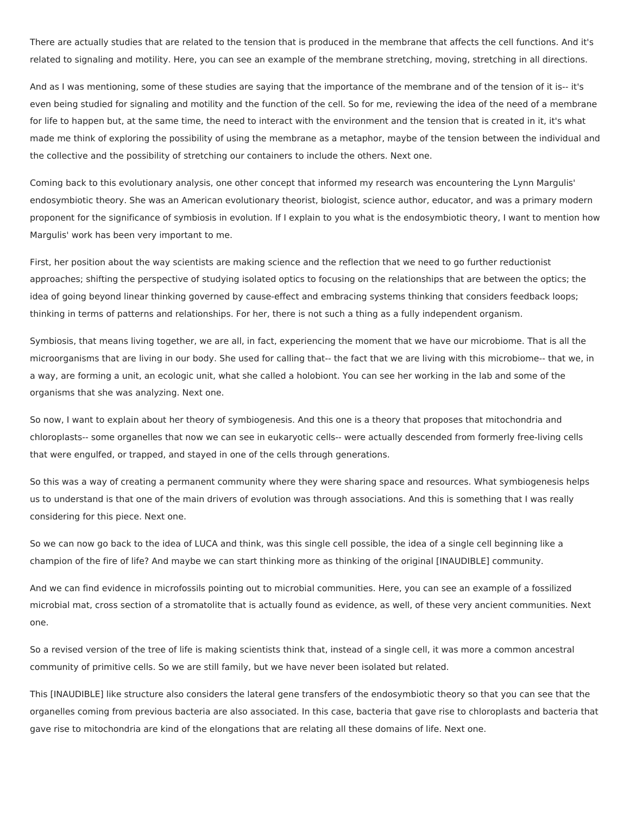There are actually studies that are related to the tension that is produced in the membrane that affects the cell functions. And it's related to signaling and motility. Here, you can see an example of the membrane stretching, moving, stretching in all directions.

And as I was mentioning, some of these studies are saying that the importance of the membrane and of the tension of it is-- it's even being studied for signaling and motility and the function of the cell. So for me, reviewing the idea of the need of a membrane for life to happen but, at the same time, the need to interact with the environment and the tension that is created in it, it's what made me think of exploring the possibility of using the membrane as a metaphor, maybe of the tension between the individual and the collective and the possibility of stretching our containers to include the others. Next one.

Coming back to this evolutionary analysis, one other concept that informed my research was encountering the Lynn Margulis' endosymbiotic theory. She was an American evolutionary theorist, biologist, science author, educator, and was a primary modern proponent for the significance of symbiosis in evolution. If I explain to you what is the endosymbiotic theory, I want to mention how Margulis' work has been very important to me.

First, her position about the way scientists are making science and the reflection that we need to go further reductionist approaches; shifting the perspective of studying isolated optics to focusing on the relationships that are between the optics; the idea of going beyond linear thinking governed by cause-effect and embracing systems thinking that considers feedback loops; thinking in terms of patterns and relationships. For her, there is not such a thing as a fully independent organism.

Symbiosis, that means living together, we are all, in fact, experiencing the moment that we have our microbiome. That is all the microorganisms that are living in our body. She used for calling that-- the fact that we are living with this microbiome-- that we, in a way, are forming a unit, an ecologic unit, what she called a holobiont. You can see her working in the lab and some of the organisms that she was analyzing. Next one.

So now, I want to explain about her theory of symbiogenesis. And this one is a theory that proposes that mitochondria and chloroplasts-- some organelles that now we can see in eukaryotic cells-- were actually descended from formerly free-living cells that were engulfed, or trapped, and stayed in one of the cells through generations.

So this was a way of creating a permanent community where they were sharing space and resources. What symbiogenesis helps us to understand is that one of the main drivers of evolution was through associations. And this is something that I was really considering for this piece. Next one.

So we can now go back to the idea of LUCA and think, was this single cell possible, the idea of a single cell beginning like a champion of the fire of life? And maybe we can start thinking more as thinking of the original [INAUDIBLE] community.

And we can find evidence in microfossils pointing out to microbial communities. Here, you can see an example of a fossilized microbial mat, cross section of a stromatolite that is actually found as evidence, as well, of these very ancient communities. Next one.

So a revised version of the tree of life is making scientists think that, instead of a single cell, it was more a common ancestral community of primitive cells. So we are still family, but we have never been isolated but related.

This [INAUDIBLE] like structure also considers the lateral gene transfers of the endosymbiotic theory so that you can see that the organelles coming from previous bacteria are also associated. In this case, bacteria that gave rise to chloroplasts and bacteria that gave rise to mitochondria are kind of the elongations that are relating all these domains of life. Next one.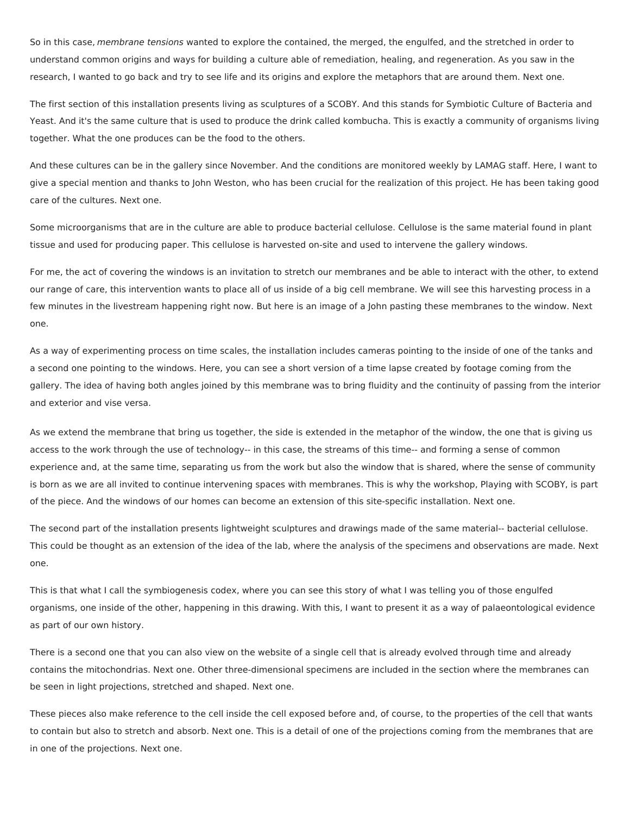So in this case, membrane tensions wanted to explore the contained, the merged, the engulfed, and the stretched in order to understand common origins and ways for building a culture able of remediation, healing, and regeneration. As you saw in the research, I wanted to go back and try to see life and its origins and explore the metaphors that are around them. Next one.

The first section of this installation presents living as sculptures of a SCOBY. And this stands for Symbiotic Culture of Bacteria and Yeast. And it's the same culture that is used to produce the drink called kombucha. This is exactly a community of organisms living together. What the one produces can be the food to the others.

And these cultures can be in the gallery since November. And the conditions are monitored weekly by LAMAG staff. Here, I want to give a special mention and thanks to John Weston, who has been crucial for the realization of this project. He has been taking good care of the cultures. Next one.

Some microorganisms that are in the culture are able to produce bacterial cellulose. Cellulose is the same material found in plant tissue and used for producing paper. This cellulose is harvested on-site and used to intervene the gallery windows.

For me, the act of covering the windows is an invitation to stretch our membranes and be able to interact with the other, to extend our range of care, this intervention wants to place all of us inside of a big cell membrane. We will see this harvesting process in a few minutes in the livestream happening right now. But here is an image of a John pasting these membranes to the window. Next one.

As a way of experimenting process on time scales, the installation includes cameras pointing to the inside of one of the tanks and a second one pointing to the windows. Here, you can see a short version of a time lapse created by footage coming from the gallery. The idea of having both angles joined by this membrane was to bring fluidity and the continuity of passing from the interior and exterior and vise versa.

As we extend the membrane that bring us together, the side is extended in the metaphor of the window, the one that is giving us access to the work through the use of technology-- in this case, the streams of this time-- and forming a sense of common experience and, at the same time, separating us from the work but also the window that is shared, where the sense of community is born as we are all invited to continue intervening spaces with membranes. This is why the workshop, Playing with SCOBY, is part of the piece. And the windows of our homes can become an extension of this site-specific installation. Next one.

The second part of the installation presents lightweight sculptures and drawings made of the same material-- bacterial cellulose. This could be thought as an extension of the idea of the lab, where the analysis of the specimens and observations are made. Next one.

This is that what I call the symbiogenesis codex, where you can see this story of what I was telling you of those engulfed organisms, one inside of the other, happening in this drawing. With this, I want to present it as a way of palaeontological evidence as part of our own history.

There is a second one that you can also view on the website of a single cell that is already evolved through time and already contains the mitochondrias. Next one. Other three-dimensional specimens are included in the section where the membranes can be seen in light projections, stretched and shaped. Next one.

These pieces also make reference to the cell inside the cell exposed before and, of course, to the properties of the cell that wants to contain but also to stretch and absorb. Next one. This is a detail of one of the projections coming from the membranes that are in one of the projections. Next one.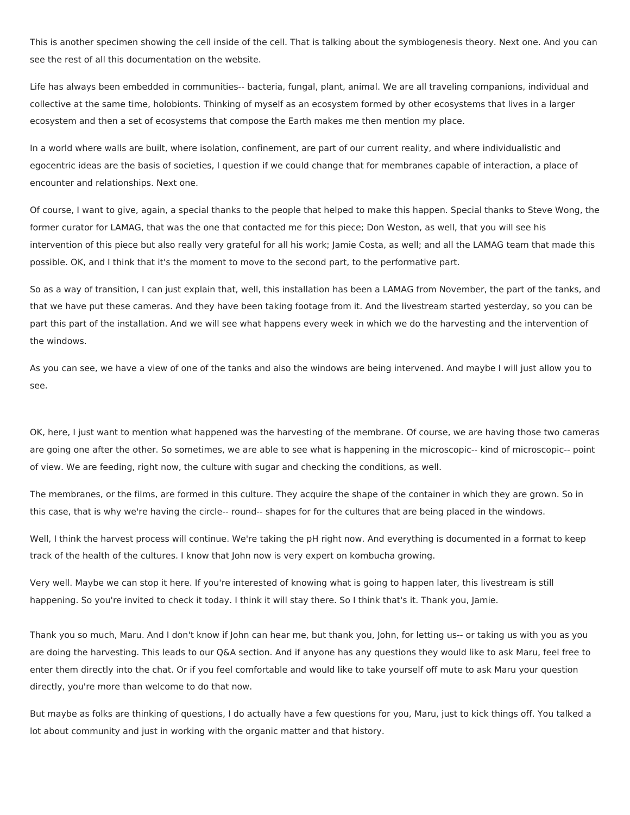This is another specimen showing the cell inside of the cell. That is talking about the symbiogenesis theory. Next one. And you can see the rest of all this documentation on the website.

Life has always been embedded in communities-- bacteria, fungal, plant, animal. We are all traveling companions, individual and collective at the same time, holobionts. Thinking of myself as an ecosystem formed by other ecosystems that lives in a larger ecosystem and then a set of ecosystems that compose the Earth makes me then mention my place.

In a world where walls are built, where isolation, confinement, are part of our current reality, and where individualistic and egocentric ideas are the basis of societies, I question if we could change that for membranes capable of interaction, a place of encounter and relationships. Next one.

Of course, I want to give, again, a special thanks to the people that helped to make this happen. Special thanks to Steve Wong, the former curator for LAMAG, that was the one that contacted me for this piece; Don Weston, as well, that you will see his intervention of this piece but also really very grateful for all his work; Jamie Costa, as well; and all the LAMAG team that made this possible. OK, and I think that it's the moment to move to the second part, to the performative part.

So as a way of transition, I can just explain that, well, this installation has been a LAMAG from November, the part of the tanks, and that we have put these cameras. And they have been taking footage from it. And the livestream started yesterday, so you can be part this part of the installation. And we will see what happens every week in which we do the harvesting and the intervention of the windows.

As you can see, we have a view of one of the tanks and also the windows are being intervened. And maybe I will just allow you to see.

OK, here, I just want to mention what happened was the harvesting of the membrane. Of course, we are having those two cameras are going one after the other. So sometimes, we are able to see what is happening in the microscopic-- kind of microscopic-- point of view. We are feeding, right now, the culture with sugar and checking the conditions, as well.

The membranes, or the films, are formed in this culture. They acquire the shape of the container in which they are grown. So in this case, that is why we're having the circle-- round-- shapes for for the cultures that are being placed in the windows.

Well, I think the harvest process will continue. We're taking the pH right now. And everything is documented in a format to keep track of the health of the cultures. I know that John now is very expert on kombucha growing.

Very well. Maybe we can stop it here. If you're interested of knowing what is going to happen later, this livestream is still happening. So you're invited to check it today. I think it will stay there. So I think that's it. Thank you, Jamie.

Thank you so much, Maru. And I don't know if John can hear me, but thank you, John, for letting us-- or taking us with you as you are doing the harvesting. This leads to our Q&A section. And if anyone has any questions they would like to ask Maru, feel free to enter them directly into the chat. Or if you feel comfortable and would like to take yourself off mute to ask Maru your question directly, you're more than welcome to do that now.

But maybe as folks are thinking of questions, I do actually have a few questions for you, Maru, just to kick things off. You talked a lot about community and just in working with the organic matter and that history.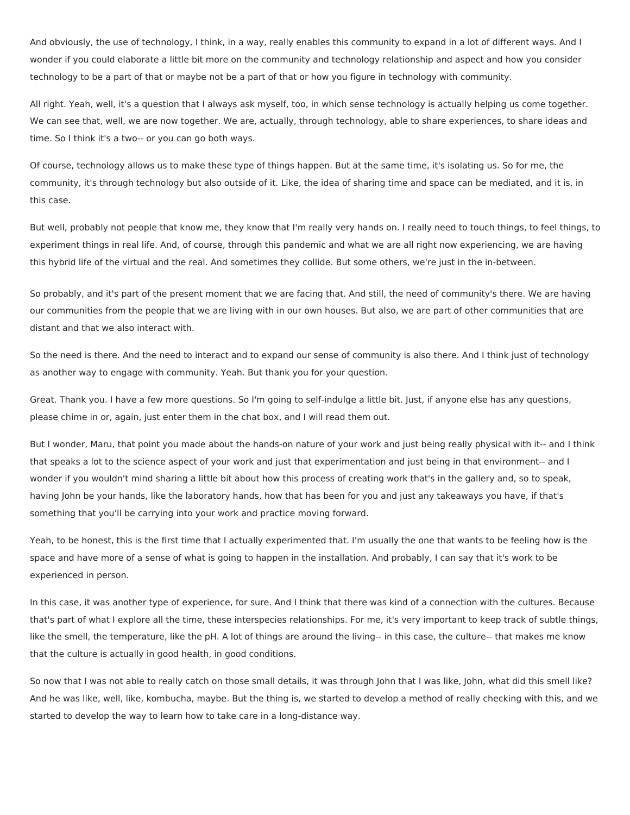And obviously, the use of technology, I think, in a way, really enables this community to expand in a lot of different ways. And I wonder if you could elaborate a little bit more on the community and technology relationship and aspect and how you consider technology to be a part of that or maybe not be a part of that or how you figure in technology with community.

All right. Yeah, well, it's a question that I always ask myself, too, in which sense technology is actually helping us come together. We can see that, well, we are now together. We are, actually, through technology, able to share experiences, to share ideas and time. So I think it's a two-- or you can go both ways.

Of course, technology allows us to make these type of things happen. But at the same time, it's isolating us. So for me, the community, it's through technology but also outside of it. Like, the idea of sharing time and space can be mediated, and it is, in this case.

But well, probably not people that know me, they know that I'm really very hands on. I really need to touch things, to feel things, to experiment things in real life. And, of course, through this pandemic and what we are all right now experiencing, we are having this hybrid life of the virtual and the real. And sometimes they collide. But some others, we're just in the in-between.

So probably, and it's part of the present moment that we are facing that. And still, the need of community's there. We are having our communities from the people that we are living with in our own houses. But also, we are part of other communities that are distant and that we also interact with.

So the need is there. And the need to interact and to expand our sense of community is also there. And I think just of technology as another way to engage with community. Yeah. But thank you for your question.

Great. Thank you. I have a few more questions. So I'm going to self-indulge a little bit. Just, if anyone else has any questions, please chime in or, again, just enter them in the chat box, and I will read them out.

But I wonder, Maru, that point you made about the hands-on nature of your work and just being really physical with it-- and I think that speaks a lot to the science aspect of your work and just that experimentation and just being in that environment-- and I wonder if you wouldn't mind sharing a little bit about how this process of creating work that's in the gallery and, so to speak, having John be your hands, like the laboratory hands, how that has been for you and just any takeaways you have, if that's something that you'll be carrying into your work and practice moving forward.

Yeah, to be honest, this is the first time that I actually experimented that. I'm usually the one that wants to be feeling how is the space and have more of a sense of what is going to happen in the installation. And probably, I can say that it's work to be experienced in person.

In this case, it was another type of experience, for sure. And I think that there was kind of a connection with the cultures. Because that's part of what I explore all the time, these interspecies relationships. For me, it's very important to keep track of subtle things, like the smell, the temperature, like the pH. A lot of things are around the living-- in this case, the culture-- that makes me know that the culture is actually in good health, in good conditions.

So now that I was not able to really catch on those small details, it was through John that I was like, John, what did this smell like? And he was like, well, like, kombucha, maybe. But the thing is, we started to develop a method of really checking with this, and we started to develop the way to learn how to take care in a long-distance way.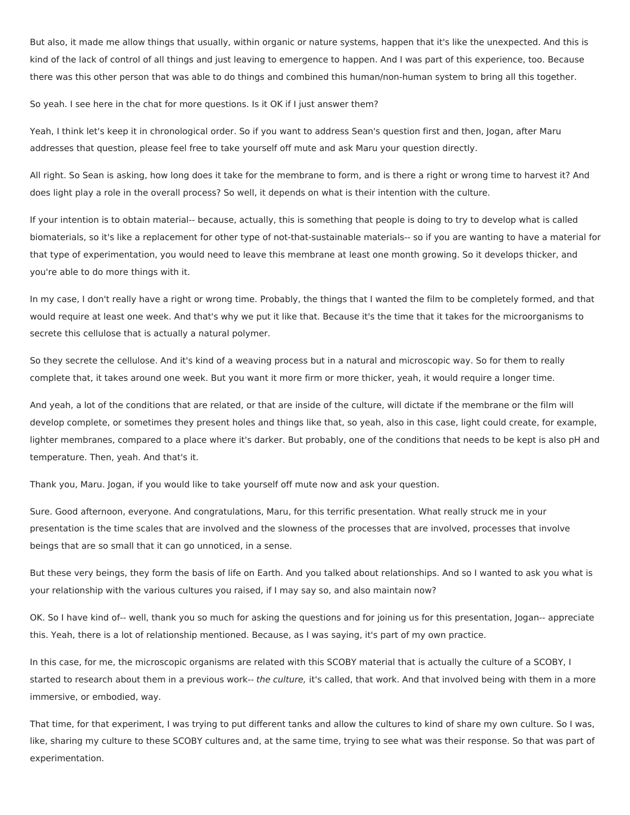But also, it made me allow things that usually, within organic or nature systems, happen that it's like the unexpected. And this is kind of the lack of control of all things and just leaving to emergence to happen. And I was part of this experience, too. Because there was this other person that was able to do things and combined this human/non-human system to bring all this together.

So yeah. I see here in the chat for more questions. Is it OK if I just answer them?

Yeah, I think let's keep it in chronological order. So if you want to address Sean's question first and then, Jogan, after Maru addresses that question, please feel free to take yourself off mute and ask Maru your question directly.

All right. So Sean is asking, how long does it take for the membrane to form, and is there a right or wrong time to harvest it? And does light play a role in the overall process? So well, it depends on what is their intention with the culture.

If your intention is to obtain material-- because, actually, this is something that people is doing to try to develop what is called biomaterials, so it's like a replacement for other type of not-that-sustainable materials-- so if you are wanting to have a material for that type of experimentation, you would need to leave this membrane at least one month growing. So it develops thicker, and you're able to do more things with it.

In my case, I don't really have a right or wrong time. Probably, the things that I wanted the film to be completely formed, and that would require at least one week. And that's why we put it like that. Because it's the time that it takes for the microorganisms to secrete this cellulose that is actually a natural polymer.

So they secrete the cellulose. And it's kind of a weaving process but in a natural and microscopic way. So for them to really complete that, it takes around one week. But you want it more firm or more thicker, yeah, it would require a longer time.

And yeah, a lot of the conditions that are related, or that are inside of the culture, will dictate if the membrane or the film will develop complete, or sometimes they present holes and things like that, so yeah, also in this case, light could create, for example, lighter membranes, compared to a place where it's darker. But probably, one of the conditions that needs to be kept is also pH and temperature. Then, yeah. And that's it.

Thank you, Maru. Jogan, if you would like to take yourself off mute now and ask your question.

Sure. Good afternoon, everyone. And congratulations, Maru, for this terrific presentation. What really struck me in your presentation is the time scales that are involved and the slowness of the processes that are involved, processes that involve beings that are so small that it can go unnoticed, in a sense.

But these very beings, they form the basis of life on Earth. And you talked about relationships. And so I wanted to ask you what is your relationship with the various cultures you raised, if I may say so, and also maintain now?

OK. So I have kind of-- well, thank you so much for asking the questions and for joining us for this presentation, Jogan-- appreciate this. Yeah, there is a lot of relationship mentioned. Because, as I was saying, it's part of my own practice.

In this case, for me, the microscopic organisms are related with this SCOBY material that is actually the culture of a SCOBY, I started to research about them in a previous work-- the culture, it's called, that work. And that involved being with them in a more immersive, or embodied, way.

That time, for that experiment, I was trying to put different tanks and allow the cultures to kind of share my own culture. So I was, like, sharing my culture to these SCOBY cultures and, at the same time, trying to see what was their response. So that was part of experimentation.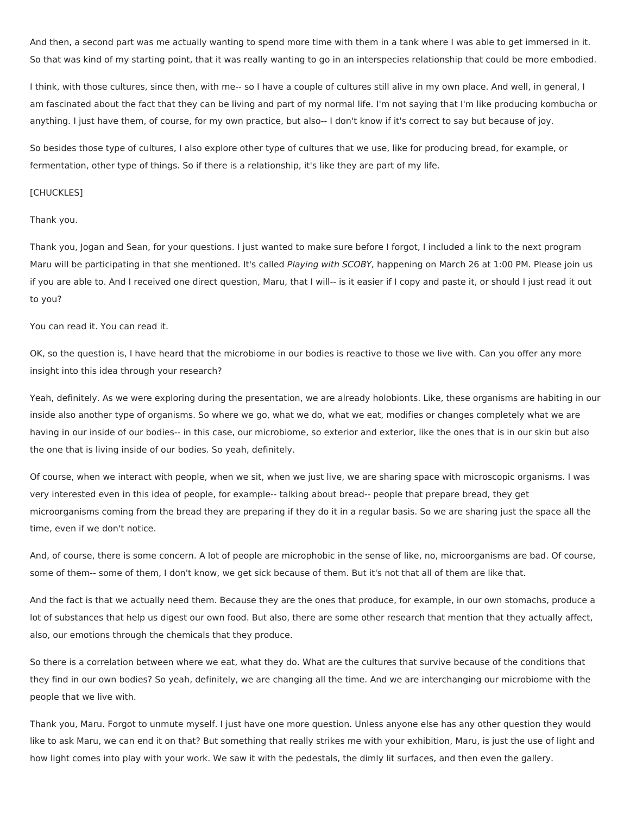And then, a second part was me actually wanting to spend more time with them in a tank where I was able to get immersed in it. So that was kind of my starting point, that it was really wanting to go in an interspecies relationship that could be more embodied.

I think, with those cultures, since then, with me-- so I have a couple of cultures still alive in my own place. And well, in general, I am fascinated about the fact that they can be living and part of my normal life. I'm not saying that I'm like producing kombucha or anything. I just have them, of course, for my own practice, but also-- I don't know if it's correct to say but because of joy.

So besides those type of cultures, I also explore other type of cultures that we use, like for producing bread, for example, or fermentation, other type of things. So if there is a relationship, it's like they are part of my life.

## [CHUCKLES]

## Thank you.

Thank you, Jogan and Sean, for your questions. I just wanted to make sure before I forgot, I included a link to the next program Maru will be participating in that she mentioned. It's called Playing with SCOBY, happening on March 26 at 1:00 PM. Please join us if you are able to. And I received one direct question, Maru, that I will-- is it easier if I copy and paste it, or should I just read it out to you?

## You can read it. You can read it.

OK, so the question is, I have heard that the microbiome in our bodies is reactive to those we live with. Can you offer any more insight into this idea through your research?

Yeah, definitely. As we were exploring during the presentation, we are already holobionts. Like, these organisms are habiting in our inside also another type of organisms. So where we go, what we do, what we eat, modifies or changes completely what we are having in our inside of our bodies-- in this case, our microbiome, so exterior and exterior, like the ones that is in our skin but also the one that is living inside of our bodies. So yeah, definitely.

Of course, when we interact with people, when we sit, when we just live, we are sharing space with microscopic organisms. I was very interested even in this idea of people, for example-- talking about bread-- people that prepare bread, they get microorganisms coming from the bread they are preparing if they do it in a regular basis. So we are sharing just the space all the time, even if we don't notice.

And, of course, there is some concern. A lot of people are microphobic in the sense of like, no, microorganisms are bad. Of course, some of them-- some of them, I don't know, we get sick because of them. But it's not that all of them are like that.

And the fact is that we actually need them. Because they are the ones that produce, for example, in our own stomachs, produce a lot of substances that help us digest our own food. But also, there are some other research that mention that they actually affect, also, our emotions through the chemicals that they produce.

So there is a correlation between where we eat, what they do. What are the cultures that survive because of the conditions that they find in our own bodies? So yeah, definitely, we are changing all the time. And we are interchanging our microbiome with the people that we live with.

Thank you, Maru. Forgot to unmute myself. I just have one more question. Unless anyone else has any other question they would like to ask Maru, we can end it on that? But something that really strikes me with your exhibition, Maru, is just the use of light and how light comes into play with your work. We saw it with the pedestals, the dimly lit surfaces, and then even the gallery.